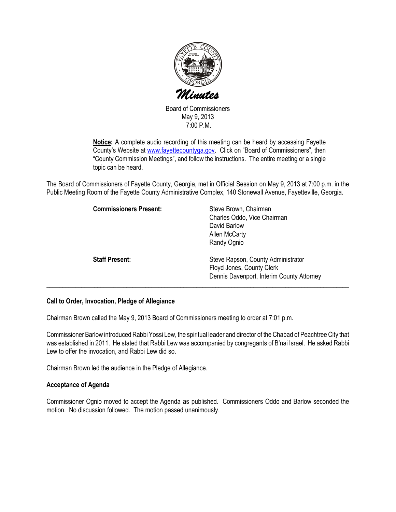

Board of Commissioners May 9, 2013 7:00 P.M.

Notice: A complete audio recording of this meeting can be heard by accessing Fayette County's Website at www.fayettecountyga.gov. Click on "Board of Commissioners", then "County Commission Meetings", and follow the instructions. The entire meeting or a single topic can be heard.

The Board of Commissioners of Fayette County, Georgia, met in Official Session on May 9, 2013 at 7:00 p.m. in the Public Meeting Room of the Fayette County Administrative Complex, 140 Stonewall Avenue, Fayetteville, Georgia.

| <b>Commissioners Present:</b> | Steve Brown, Chairman<br>Charles Oddo, Vice Chairman<br>David Barlow<br>Allen McCarty<br>Randy Ognio         |
|-------------------------------|--------------------------------------------------------------------------------------------------------------|
| <b>Staff Present:</b>         | Steve Rapson, County Administrator<br>Floyd Jones, County Clerk<br>Dennis Davenport, Interim County Attorney |

### Call to Order, Invocation, Pledge of Allegiance

Chairman Brown called the May 9, 2013 Board of Commissioners meeting to order at 7:01 p.m.

Commissioner Barlow introduced Rabbi Yossi Lew, the spiritual leader and director of the Chabad of Peachtree City that was established in 2011. He stated that Rabbi Lew was accompanied by congregants of B'nai Israel. He asked Rabbi Lew to offer the invocation, and Rabbi Lew did so.

Chairman Brown led the audience in the Pledge of Allegiance.

### Acceptance of Agenda

Commissioner Ognio moved to accept the Agenda as published. Commissioners Oddo and Barlow seconded the motion. No discussion followed. The motion passed unanimously.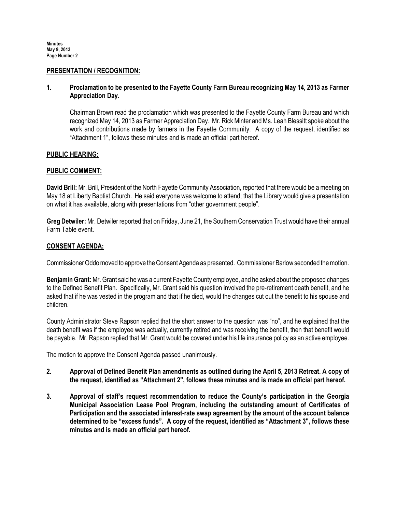#### PRESENTATION / RECOGNITION:

# 1. Proclamation to be presented to the Fayette County Farm Bureau recognizing May 14, 2013 as Farmer Appreciation Day.

Chairman Brown read the proclamation which was presented to the Fayette County Farm Bureau and which recognized May 14, 2013 as Farmer Appreciation Day. Mr. Rick Minter and Ms. Leah Blessitt spoke about the work and contributions made by farmers in the Fayette Community. A copy of the request, identified as "Attachment 1", follows these minutes and is made an official part hereof.

### PUBLIC HEARING:

### PUBLIC COMMENT:

David Brill: Mr. Brill, President of the North Fayette Community Association, reported that there would be a meeting on May 18 at Liberty Baptist Church. He said everyone was welcome to attend; that the Library would give a presentation on what it has available, along with presentations from "other government people".

Greg Detwiler: Mr. Detwiler reported that on Friday, June 21, the Southern Conservation Trust would have their annual Farm Table event.

### CONSENT AGENDA:

Commissioner Oddo moved to approve the Consent Agenda as presented. Commissioner Barlow seconded the motion.

Benjamin Grant: Mr. Grant said he was a current Fayette County employee, and he asked about the proposed changes to the Defined Benefit Plan. Specifically, Mr. Grant said his question involved the pre-retirement death benefit, and he asked that if he was vested in the program and that if he died, would the changes cut out the benefit to his spouse and children.

County Administrator Steve Rapson replied that the short answer to the question was "no", and he explained that the death benefit was if the employee was actually, currently retired and was receiving the benefit, then that benefit would be payable. Mr. Rapson replied that Mr. Grant would be covered under his life insurance policy as an active employee.

The motion to approve the Consent Agenda passed unanimously.

- 2. 2. Approval of Defined Benefit Plan amendments as outlined during the April 5, 2013 Retreat. A copy of the request, identified as "Attachment 2", follows these minutes and is made an official part hereof.
- 3. Approval of staff's request recommendation to reduce the County's participation in the Georgia Municipal Association Lease Pool Program, including the outstanding amount of Certificates of Participation and the associated interest-rate swap agreement by the amount of the account balance determined to be "excess funds". A copy of the request, identified as "Attachment 3", follows these minutes and is made an official part hereof.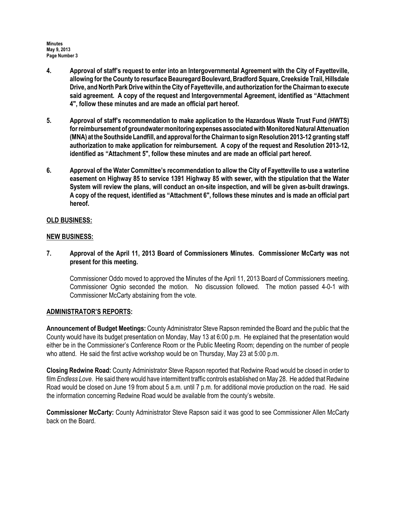Minutes May 9, 2013 Page Number 3

- 4. Approval of staff's request to enter into an Intergovernmental Agreement with the City of Fayetteville, allowing for the County to resurface Beauregard Boulevard, Bradford Square, Creekside Trail, Hillsdale Drive, and North Park Drive within the City of Fayetteville, and authorization for the Chairman to execute said agreement. A copy of the request and Intergovernmental Agreement, identified as "Attachment 4", follow these minutes and are made an official part hereof.
- 5. Approval of staff's recommendation to make application to the Hazardous Waste Trust Fund (HWTS) for reimbursement of groundwater monitoring expenses associated with Monitored Natural Attenuation (MNA) at the Southside Landfill, and approval for the Chairman to sign Resolution 2013-12 granting staff authorization to make application for reimbursement. A copy of the request and Resolution 2013-12, identified as "Attachment 5", follow these minutes and are made an official part hereof.
- 6. Approval of the Water Committee's recommendation to allow the City of Fayetteville to use a waterline easement on Highway 85 to service 1391 Highway 85 with sewer, with the stipulation that the Water System will review the plans, will conduct an on-site inspection, and will be given as-built drawings. A copy of the request, identified as "Attachment 6", follows these minutes and is made an official part hereof.

# OLD BUSINESS:

### NEW BUSINESS:

7. Approval of the April 11, 2013 Board of Commissioners Minutes. Commissioner McCarty was not present for this meeting.

Commissioner Oddo moved to approved the Minutes of the April 11, 2013 Board of Commissioners meeting. Commissioner Ognio seconded the motion. No discussion followed. The motion passed 4-0-1 with Commissioner McCarty abstaining from the vote.

### ADMINISTRATOR'S REPORTS:

Announcement of Budget Meetings: County Administrator Steve Rapson reminded the Board and the public that the County would have its budget presentation on Monday, May 13 at 6:00 p.m. He explained that the presentation would either be in the Commissioner's Conference Room or the Public Meeting Room; depending on the number of people who attend. He said the first active workshop would be on Thursday, May 23 at 5:00 p.m.

Closing Redwine Road: County Administrator Steve Rapson reported that Redwine Road would be closed in order to film Endless Love. He said there would have intermittent traffic controls established on May 28. He added that Redwine Road would be closed on June 19 from about 5 a.m. until 7 p.m. for additional movie production on the road. He said the information concerning Redwine Road would be available from the county's website.

Commissioner McCarty: County Administrator Steve Rapson said it was good to see Commissioner Allen McCarty back on the Board.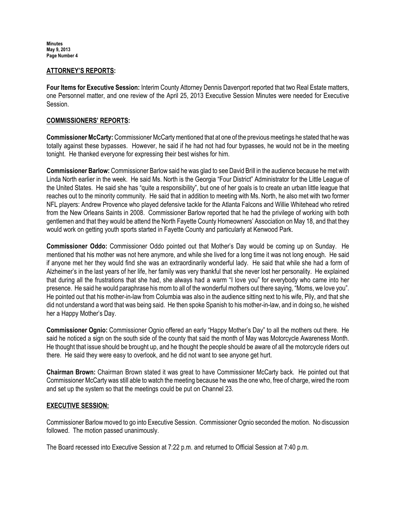Minutes May 9, 2013 Page Number 4

#### ATTORNEY'S REPORTS:

Four Items for Executive Session: Interim County Attorney Dennis Davenport reported that two Real Estate matters, one Personnel matter, and one review of the April 25, 2013 Executive Session Minutes were needed for Executive Session.

### COMMISSIONERS' REPORTS:

Commissioner McCarty: Commissioner McCarty mentioned that at one of the previous meetings he stated that he was totally against these bypasses. However, he said if he had not had four bypasses, he would not be in the meeting tonight. He thanked everyone for expressing their best wishes for him.

Commissioner Barlow: Commissioner Barlow said he was glad to see David Brill in the audience because he met with Linda North earlier in the week. He said Ms. North is the Georgia "Four District" Administrator for the Little League of the United States. He said she has "quite a responsibility", but one of her goals is to create an urban little league that reaches out to the minority community. He said that in addition to meeting with Ms. North, he also met with two former NFL players: Andrew Provence who played defensive tackle for the Atlanta Falcons and Willie Whitehead who retired from the New Orleans Saints in 2008. Commissioner Barlow reported that he had the privilege of working with both gentlemen and that they would be attend the North Fayette County Homeowners' Association on May 18, and that they would work on getting youth sports started in Fayette County and particularly at Kenwood Park.

Commissioner Oddo: Commissioner Oddo pointed out that Mother's Day would be coming up on Sunday. He mentioned that his mother was not here anymore, and while she lived for a long time it was not long enough. He said if anyone met her they would find she was an extraordinarily wonderful lady. He said that while she had a form of Alzheimer's in the last years of her life, her family was very thankful that she never lost her personality. He explained that during all the frustrations that she had, she always had a warm "I love you" for everybody who came into her presence. He said he would paraphrase his mom to all of the wonderful mothers out there saying, "Moms, we love you". He pointed out that his mother-in-law from Columbia was also in the audience sitting next to his wife, Pily, and that she did not understand a word that was being said. He then spoke Spanish to his mother-in-law, and in doing so, he wished her a Happy Mother's Day.

Commissioner Ognio: Commissioner Ognio offered an early "Happy Mother's Day" to all the mothers out there. He said he noticed a sign on the south side of the county that said the month of May was Motorcycle Awareness Month. He thought that issue should be brought up, and he thought the people should be aware of all the motorcycle riders out there. He said they were easy to overlook, and he did not want to see anyone get hurt.

Chairman Brown: Chairman Brown stated it was great to have Commissioner McCarty back. He pointed out that Commissioner McCarty was still able to watch the meeting because he was the one who, free of charge, wired the room and set up the system so that the meetings could be put on Channel 23.

### EXECUTIVE SESSION:

Commissioner Barlow moved to go into Executive Session. Commissioner Ognio seconded the motion. No discussion followed. The motion passed unanimously.

The Board recessed into Executive Session at 7:22 p.m. and returned to Official Session at 7:40 p.m.